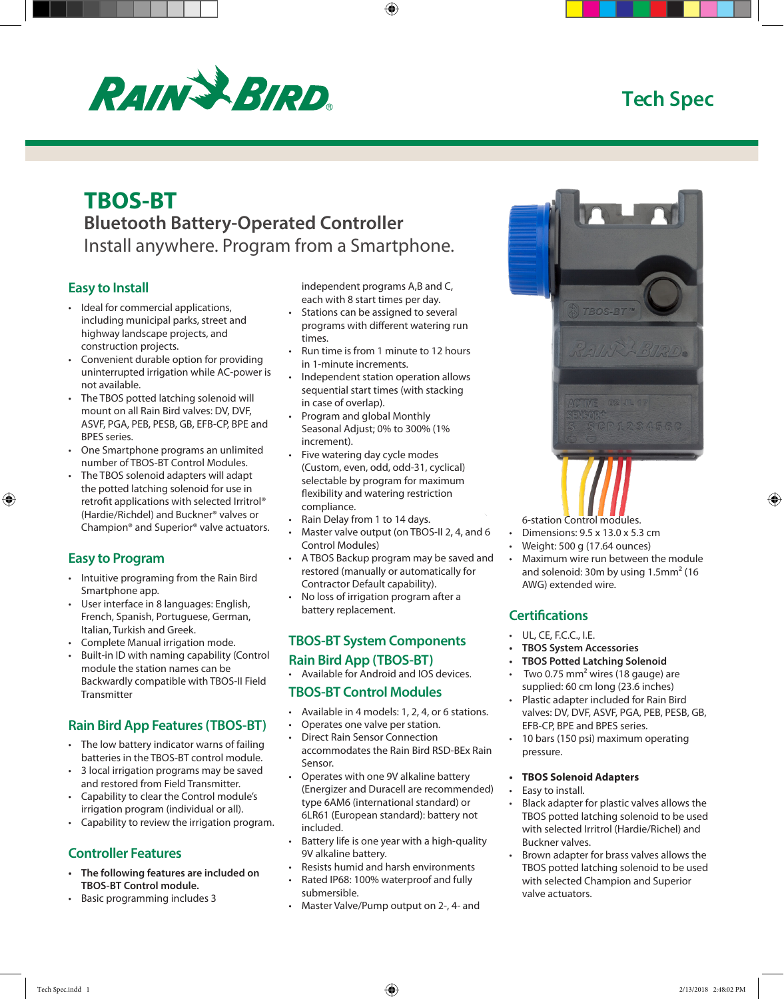# **Tech Spec**



# **TBOS-BT Bluetooth Battery-Operated Controller** Install anywhere. Program from a Smartphone.

## **Easy to Install**

- Ideal for commercial applications, including municipal parks, street and highway landscape projects, and construction projects.
- Convenient durable option for providing uninterrupted irrigation while AC-power is not available.
- The TBOS potted latching solenoid will mount on all Rain Bird valves: DV, DVF, ASVF, PGA, PEB, PESB, GB, EFB-CP, BPE and BPES series.
- One Smartphone programs an unlimited number of TBOS-BT Control Modules.
- The TBOS solenoid adapters will adapt the potted latching solenoid for use in retrofit applications with selected Irritrol® (Hardie/Richdel) and Buckner® valves or Champion® and Superior® valve actuators.

## **Easy to Program**

- Intuitive programing from the Rain Bird Smartphone app.
- User interface in 8 languages: English, French, Spanish, Portuguese, German, Italian, Turkish and Greek.
- Complete Manual irrigation mode.
- Built-in ID with naming capability (Control module the station names can be Backwardly compatible with TBOS-II Field **Transmitter**

# **Rain Bird App Features (TBOS-BT)**

- The low battery indicator warns of failing batteries in the TBOS-BT control module.
- 3 local irrigation programs may be saved and restored from Field Transmitter.
- Capability to clear the Control module's irrigation program (individual or all).
- Capability to review the irrigation program.

# **Controller Features**

- **• The following features are included on TBOS-BT Control module.**
- Basic programming includes 3

independent programs A,B and C, each with 8 start times per day.

- Stations can be assigned to several programs with different watering run times.
- Run time is from 1 minute to 12 hours in 1-minute increments.
- Independent station operation allows sequential start times (with stacking in case of overlap).
- Program and global Monthly Seasonal Adjust; 0% to 300% (1% increment).
- Five watering day cycle modes (Custom, even, odd, odd-31, cyclical) selectable by program for maximum flexibility and watering restriction compliance.
- Rain Delay from 1 to 14 days.
- Master valve output (on TBOS-II 2, 4, and 6 Control Modules)
- A TBOS Backup program may be saved and restored (manually or automatically for Contractor Default capability).
- No loss of irrigation program after a battery replacement.

## **TBOS-BT System Components Rain Bird App (TBOS-BT)**

• Available for Android and IOS devices.

# **TBOS-BT Control Modules**

- Available in 4 models: 1, 2, 4, or 6 stations.
- Operates one valve per station.
- Direct Rain Sensor Connection accommodates the Rain Bird RSD-BEx Rain Sensor.
- Operates with one 9V alkaline battery (Energizer and Duracell are recommended) type 6AM6 (international standard) or 6LR61 (European standard): battery not included.
- Battery life is one year with a high-quality 9V alkaline battery.
- Resists humid and harsh environments
- Rated IP68: 100% waterproof and fully submersible.
- Master Valve/Pump output on 2-, 4- and



- 6-station Control modules.
- Dimensions: 9.5 x 13.0 x 5.3 cm
- Weight: 500 g (17.64 ounces)
- Maximum wire run between the module and solenoid: 30m by using 1.5mm² (16 AWG) extended wire.

# **Certifications**

- UL, CE, F.C.C., I.E.
- **• TBOS System Accessories**
- **• TBOS Potted Latching Solenoid**
- Two 0.75 mm<sup>2</sup> wires (18 gauge) are supplied: 60 cm long (23.6 inches)
- Plastic adapter included for Rain Bird valves: DV, DVF, ASVF, PGA, PEB, PESB, GB, EFB-CP, BPE and BPES series.
- 10 bars (150 psi) maximum operating pressure.

#### **• TBOS Solenoid Adapters**

- Easy to install.
- Black adapter for plastic valves allows the TBOS potted latching solenoid to be used with selected Irritrol (Hardie/Richel) and Buckner valves.
- Brown adapter for brass valves allows the TBOS potted latching solenoid to be used with selected Champion and Superior valve actuators.